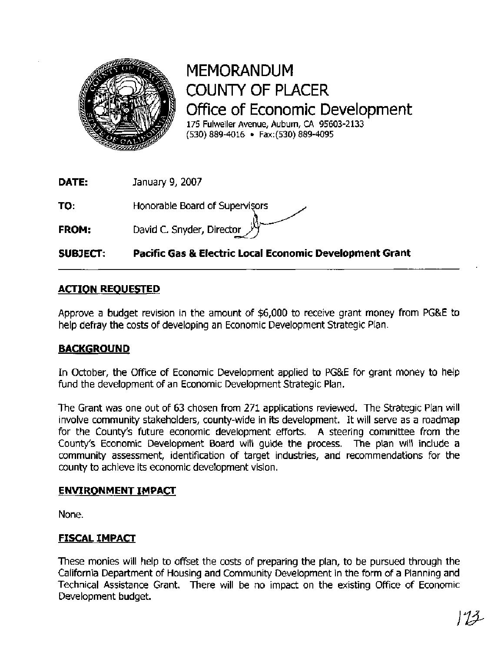

MEMORANDUM COUNTY OF PLACER Ofice of Economic Development **175** Fulweiler Avenue, Auburn, **CA 95603-2133 (530) 889-4016** Fax: **(530) 889-4095** 

**DATE:** January 9, 2007

**TO: Honorable Board of Supervisors** 

**FROM:** David C. Snyder, Director

# **SUBJECT: Pacific Gas** & **Electric Local Economic Development Grant**

# **ACTION REOUESTED**

Approve a budget revision in the amount of \$6,000 to receive grant money from PG&E to help defray the costs of developing an Economic Development Strategic Plan.

## **BACKGROUND**

In October, the Office of Economic Development applied to PG&E for grant money to help fund the development of an Economic Development Strategic Plan.

The Grant was one out of 63 chosen from 271 applications reviewed. The Strategic Plan will involve community stakeholders, county-wide in its development. It will serve as a roadmap for the County's future economic development efforts. A steering committee from the County's Economic Development Board will guide the process. The plan will include a community assessment, identification of target industries, and recommendations for the county to achieve its economic development vision.

## **ENVIRONMENT IMPACT**

None.

# **FISCAL IMPACT**

These monies will help to offset the costs of preparing the plan, to be pursued through the California Department of Housing and Community Development in the form of a Planning and Technical Assistance Grant. There will be no impact on the existing Office of Economic Development budget.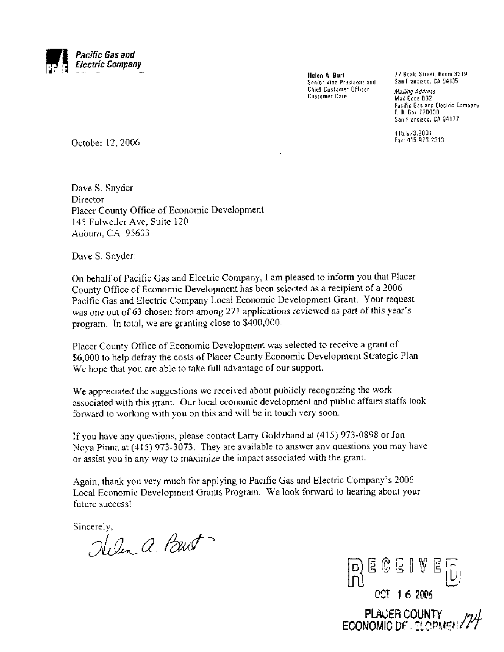

Senior Vice President and Chief Customer Officer Mailing **Address**  Customer Care Mail Code B32

**Helen A. Burt** 77 Beale Street, Room 3219

Pacific Gas and Electric Company P. 0. Box 770000 San Francisco, CA 94177

415.973.2001 Fax: 415.973.2313

October 12,2006

Dave S. Snyder Director Placer County Office of Economic Development 145 Fulweiler Ave, Suite 120 Auburn, CA 95603

Dave S. Snyder:

On behalf of Pacific Gas and Electric Company, I am pleased to inform you that Placer County Office of Economic Development has been selected as a recipient of a 2006 Pacific Gas and Electric Company Local Economic Development Grant. Your request was one out of 63 chosen from among 271 applications reviewed as part of this year's program. In total, we are granting close to \$400,000.

Placer County Office of Economic Development was selected to receive a grant of \$6,000 to help defray the costs of Placer County Economic Development Strategic Plan. We hope that you are able to take full advantage of our support.

We appreciated the suggestions we received about publicly recognizing the work associated with this grant. Our local economic development and public affairs staffs look forward to working with you on this and will be in touch very soon.

If you have any questions, please contact Larry Goldzband at (415) 973-0898 or Jan Nova Pinna at (415) 973-3073. They are available to answer any questions you may have or assist you in any way to maximize the impact associated with the grant.

Again, thank you very much for applying to Pacific Gas and Electric Company's 2006 Local Economic Development Grants Program. We look forward to hearing about your future success!

Sincerely,<br>Ilelen a. Paut



PLACER COUNTY **ECONOMIC DEL SLOPA**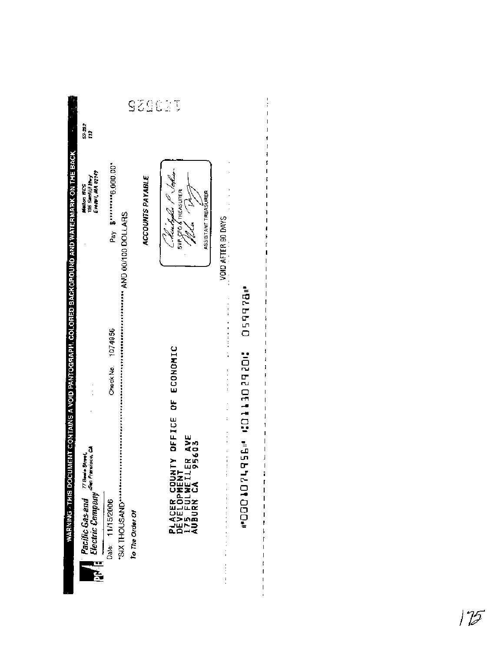| 93962<br>Pay \$""""6,000.00"<br>Nachoda P Sobar<br>ACCOUNTS PAYABLE<br>SW-CFO & THEASURER<br>ASSISTANT TREASURER<br>VOID AFTER 90 DAYS<br>Check No. 1074956<br>DEFICE OF ECONOMIC<br>$\vdots$<br>$\vdots$<br>7 AVE<br>5603<br>5603<br>PLACER COUNTY<br>Development<br>175 fulweiler<br>Auburn CA<br>$\frac{1}{2}$<br>$\ddot{\phantom{0}}$<br>Date: 11/15/2006<br>To The Order Of | Pacific Gas and Trame sines. | Ewal, MA 02149<br>Metten WCS<br>195 Sentilill Hwy | ន្ទុងវិ<br>រះ |
|----------------------------------------------------------------------------------------------------------------------------------------------------------------------------------------------------------------------------------------------------------------------------------------------------------------------------------------------------------------------------------|------------------------------|---------------------------------------------------|---------------|
|                                                                                                                                                                                                                                                                                                                                                                                  |                              |                                                   |               |
|                                                                                                                                                                                                                                                                                                                                                                                  |                              |                                                   |               |
|                                                                                                                                                                                                                                                                                                                                                                                  |                              |                                                   | Ţ             |
|                                                                                                                                                                                                                                                                                                                                                                                  |                              |                                                   |               |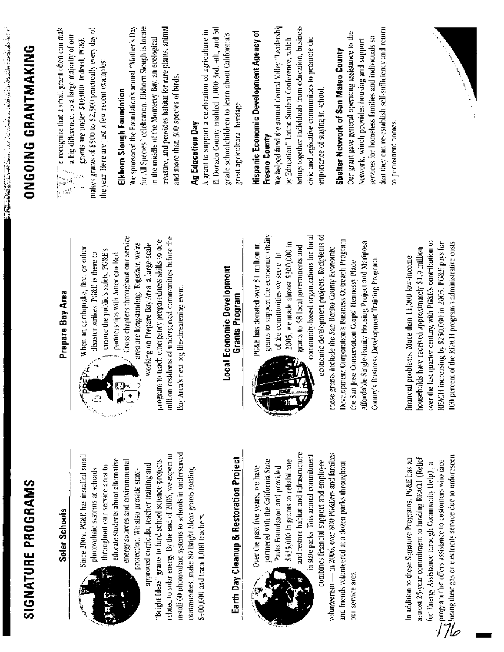| SIGNATURE PROGRAMS                                                                                                                                                                                                                                                                                                                                                                                                                                                                                                                                                                               |                                                                                                                                                                                                                                                                                                                                                                                                                                                                                                                                                                        | <b>ONGOING GRANTMAKING</b>                                                                                                                                                                                                                                                                                                                                                                                                                                                                                                                                                                                                                 |
|--------------------------------------------------------------------------------------------------------------------------------------------------------------------------------------------------------------------------------------------------------------------------------------------------------------------------------------------------------------------------------------------------------------------------------------------------------------------------------------------------------------------------------------------------------------------------------------------------|------------------------------------------------------------------------------------------------------------------------------------------------------------------------------------------------------------------------------------------------------------------------------------------------------------------------------------------------------------------------------------------------------------------------------------------------------------------------------------------------------------------------------------------------------------------------|--------------------------------------------------------------------------------------------------------------------------------------------------------------------------------------------------------------------------------------------------------------------------------------------------------------------------------------------------------------------------------------------------------------------------------------------------------------------------------------------------------------------------------------------------------------------------------------------------------------------------------------------|
| Solar Schools                                                                                                                                                                                                                                                                                                                                                                                                                                                                                                                                                                                    | Prepare Bay Area                                                                                                                                                                                                                                                                                                                                                                                                                                                                                                                                                       | e recognize that a small grant often can mak<br>a hig difference, so a large majority of our                                                                                                                                                                                                                                                                                                                                                                                                                                                                                                                                               |
| install 60 photovoltaic systems to schools in underserved<br>related to solar energy. By the end of 2006, we expect to<br>Since 2004, PG&F, has installed small<br>Earth Day Cleanup & Restoration Project<br>educate students about alternative<br>energy sources and covironmental<br>"Bright Ideas" grants to fund school science projects<br>approved curricula, teacher training and<br>throughout our service area to<br>communities, make 80 Bright Ideas grants totaling<br>photovoltaic systems at schools<br>protection. We also provide state-<br>\$400,000 and train 1,000 teachers. | Cross chapters throughout our service<br>million residents of underserved communities before the<br>program to teach emergency preparedness skills to one<br>area are longstanding. Together, we're<br>working on Prepare Bay Area, a large-scale<br>When an carthquake, fire, or other<br>ensure the public's safety, PG&E's<br>disaster strikes, PG&E is there to<br>partnerships with American Red<br>Local Economic Development<br>Bay Area's next big life-threatening event.<br>Grants Program<br>Á                                                              | for All Species" celebration. Elkhorn Slough is locate<br>treasure, and provides habitat for rare plants, animal<br>We sponsored the Foundation's annual "Mother's Day<br>El Dorado County enabled 1,000 3rd, 4th, and 5tl<br>makes grants of \$500 to \$2,500 practically every day of<br>A grant to support a celebration of agriculture in<br>grade schoolchildren to learn about California's<br>in the middle of the Monterey Bay, an ecological<br>grants are under \$10,000, indeed, PG&E<br>the year. Here are just a few recent examples:<br>and more than 300 species of birds.<br>Elkhorn Slough Foundation<br>Ag Education Day |
|                                                                                                                                                                                                                                                                                                                                                                                                                                                                                                                                                                                                  |                                                                                                                                                                                                                                                                                                                                                                                                                                                                                                                                                                        | great agricultural heritage.                                                                                                                                                                                                                                                                                                                                                                                                                                                                                                                                                                                                               |
| and restore habitat and infrastructure<br>- in 2006, over 800 PG&Fers and families<br>in state parks. This annual commitment<br>partnered with the California State<br>\$435,000 in grants to rehabilitate<br>combines financial support and employee<br>and friends volunteered at a dozen parks throughout<br>Parks Foundation and provided<br>Over the past five years, we have<br>our service area<br>volunteerism -                                                                                                                                                                         | grants to support the economic vitality<br>community-based organizations for local<br>economic development projects. Recipients of<br>Development Corporation's Business Outreach Program.<br>Affordable Single-Family Housing Project and Mariposa<br>2005, we made almost \$300,000 in<br>PG&E has donated over \$1 million in<br>grants to 58 local governments and<br>these grants include the San Benito County Economic<br>of the communities we serve. In<br>County's Business Development Training Program.<br>the San Jose Conservation Corps' Hennessy Place | We helped fund the annual Central Valley "Leadership<br>brings together individuals from education, business<br>that they can re-establish self-sufficiency and return<br>Hispanic Economic Development Agency of<br>Our grant gave general operating assistance to the<br>services for homeless families and individuals so<br>by Education" Latino Student Conference, which<br>civic and legislative communities to promote the<br>Network, which provides housing and support<br>Shelter Network of San Mateo County<br>importance of staying in school.<br>to permanent homes.<br>Fresno County                                       |
| $\sum$ program that offers assistance to customers who face<br>$\sum$ losing their gas or electricity service due to unforcseen<br>almost 25-year commitment to funding REACH (Relief<br>In addition to these Signature Programs, PG&E has an<br>for Energy Assistance through Community Help), a                                                                                                                                                                                                                                                                                                | over the last quarter century, with PG&E's contribution to<br>REACH increasing by \$250,000 in 2005. PO&E pays for<br>100 percent of the REACH program's administrative costs.<br>households have received approximately \$1.9 million<br>financial problems. More than 11,000 low-income                                                                                                                                                                                                                                                                              |                                                                                                                                                                                                                                                                                                                                                                                                                                                                                                                                                                                                                                            |

 $\mathbf{r}$ 

「APPASS」の高級を取り込んでいる。「CONTAINS」ということにしていく、これにはPanamara APPASS (APPASS)ということが、「APPASS の高級を取り込んでいく、「CONTAINS」ということにしていく。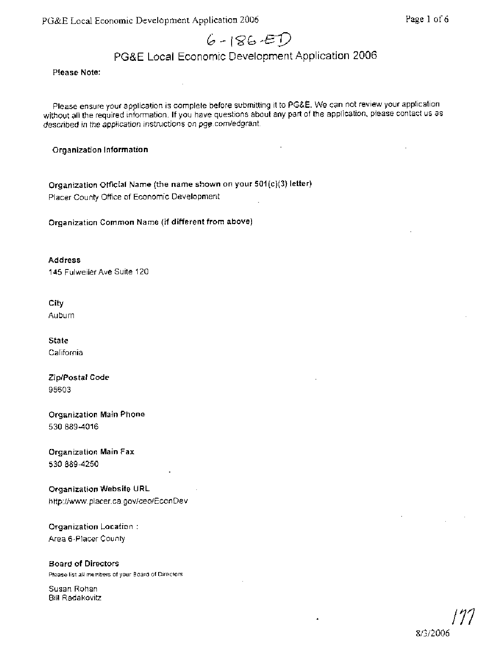PG&E Local Economic Development Application *2006* Page 1 of *6* 

# $6 - 186 - ED$

# PG&E Local Economic Development Application 2006

Please Note:

Please ensure your application is complete before submitting it to PG&E. We can not review your application without all the required information. If you have questions about any part of the application, please contact us as described in the application instruciions on pge.com/edgrant.

Organization Information

Organization Official Name (the name shown on your 501(c)(3) letter) Placer County Office of Economic Development

Organization Common Name (if different from above)

Address 145 Fulweiler Ave Suite 120

City Auburn

State California

ZiplPostal Code 95603

Organization Main Phone 530 889-4016

Organization Main **Fax**  530 889-4250

Organization Website URL http://www. placer.ca.gov/ceo/EconDev

Organization Location : Area 6-Placer County

Board **of** Directors Please list all members of your Board of Directors

Susan Rohan Bill Radakovitz

8/3/2006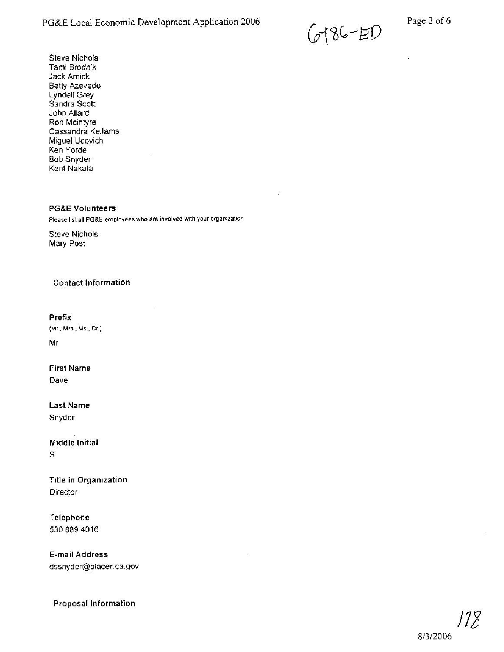G4\%L-E9

Steve Nichols Tami Brodnik Jack Arnick Betty Azevedo Lyndell Grey Sandra Scott John Allard Ron Mcintyre Cassandra Kellams Miguel Ucovich Ken Yorde Bob Snyder Kent Nakata

#### **PG&E Volunteers**

Please list all PG&E employees who are involved with your organization

Steve Nichols Mary Post

#### **Contact Information**

**Prefix** 

(Mr., Mrs.. **Ms.,** Dr.) Mr

**First Name** 

Dave

**Last Name**  Snyder

**Middle Initial**  S

**Title in Organization Director** 

**Telephone**  5308894016

**E-mail Address**  dssnyder@placer.ca.gov

**Proposal Information** 

# 8/3/2006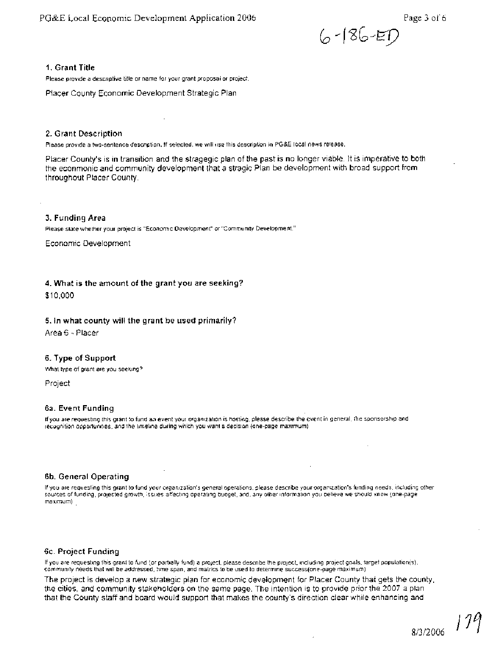

#### **I. Grant Title**

Please provide a descriptive title or name for your grant proposal or project.

Placer County Economic Development Strategic Plan

#### **2. Grant Description**

Please provide a two-sentence descnption. If selected, we will use this description in PG&E local news release.

Placer County's is in transition and the stragegic plan of the past is no longer viable. It is imperative to both the econmonic and community development that a stragic Plan be development with broad support from throughout Placer County.

#### **3. Funding Area**

Please state whether your project is "Economic Development" or "Community Development."

Economic Development

#### **4. What is the amount of the grant you are seeking?**

\$10,000

#### **5. In what county will the grant be used primarily?**

Area 6 - Placer

#### **6. Type of Support**

What type of grant are you seeking?

Project

#### **6a. Event Funding**

If you are requesting this grant to fund an event your organization is hosting, please describe the event in general, the sponsorship and recognition opportunities, and the timeline during which you want a decision (one-page maximum)

#### **6b. General Operating**

If you are requesting this grant to fund your organization's general operations. please describe your organization's funding needs, including other sources of funding, projected growth, issues affecting operating budget, and, any other information you believe we should know (one-page maximum)

#### **6c. Project Funding**

If you are requesting this grant to fund (or partially fund) a project, please describe the project, including project goals, target population(s), community needs that will be addressed, time span, and matrics to be used to determine success(one-page maximum)

The project is develop a new strategic plan for economic development for Placer County that gets the county, the cities, and community stakeholders on the same page. The intention is to provide prior the 2007 a plan that the County staff and board would support that makes the county's direction clear while enhancing and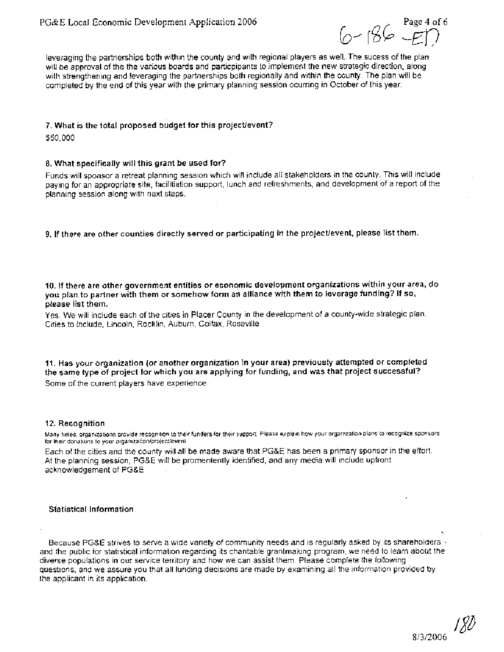$6 - 186 - E$ 

leveraging the partnerships both within the county and with regional players as well. The sucess of the plan will be approval of the the various boards and particpipants to implement the new strategic direction, along with strengthening and leveraging the partnerships both regionally and within the county. The plan will be completed by the end of this year with the primary planning session ocurring in October of this year.

#### 7. What is the total proposed budget for this project/event?

\$50,000

#### **8.** What specifically will this grant be used for?

Funds will sponsor a retreat planning session which will include all stakeholders in the county. This will include paying for an appropriate site, facilitiation support, lunch and refreshments, and development of a report of the planning session along with next steps.

9. If there are other counties directly served or participating in the project/event, please list them.

10. If there are other government entities or economic development organizations within your area, do you plan to partner with them or somehow form an alliance with them to leverage funding? If so, please list them.

Yes. We will include each of the cities in Placer County in the development of a county-wide strategic plan. Cities to include, Lincoln, Rocklin, Auburn, Colfax, Roseville

11. Has your organization (or another organization in your area) previously attempted or completed the same type of project for which you are applying for funding, and was that project successful? Some of the current players have experience.

#### 12. Recognition

Many times, organizations provide recognition to their funders for their support. Please explain how your organization plans to recognize sponsors. for their donations to your organization/project/event

Each of the cities and the county will all be made aware that PG&E has been a primary sponsor in the effort. At the planning session, PG&E will be promentently identified, and any media will include upfront acknowledgement of PG&E

#### Statistical Information

Because PG&E strives to serve a wide variety of community needs and is regularly asked by its shareholders  $\cdot$ and the public for statistical information regarding its charitable grantmaking program, we need to learn about the diverse populations in our service territory and how we can assist them. Please complete the following questions, and we assure you that all funding decisions are made by examining all the information provided by the applicant in its application.

 $\frac{180}{2000}$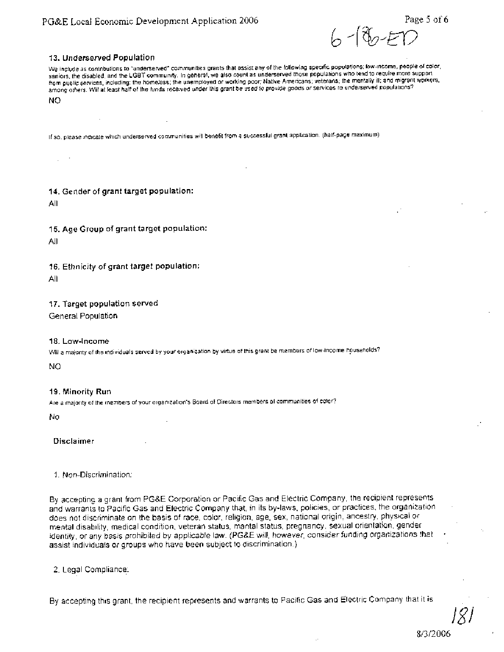سارها

#### **13. Underserved Population**

We include as contributions to "underserved" communities grants that assist any of the following specific populations; low-income, people of color, saniors, the disabled, and the LGBT community. In general, we also count as underserved those populations who tend to require more support<br>from public services, including: the homeless, the unemployed or working poor; Nati among others. Will at least half of the funds received under this grant be used to provide goods or services to underserved populations? NO

If so, please indicate which undersewed communities will benefit from a successful grant application. (half-page maximum)

**14. Gender of grant target population:** 

All

**15. Age Group of grant target population:** 

All

**16. Ethnicity of grant target population:** 

All

**17. Target population served** 

General Population

#### **18. Low-Income**

Will a majority of the individuals served by your organization by virtue of this grant be members of low-income hpuseholds?

NO

#### **19. Minority Run**

Are a majority of the members of your organization's Board of Directors members of communities of color?

No

**Disclaimer** 

#### 1. Non-Discrimination:

By accepting a grant from PG&E Corporation or Pacific Gas and Electric Company, the recipient represents and warrants to Pacific Gas and Electric Company that, in its by-laws, policies, or practices, the organization . does not discriminate on the basis of race, color, religion, age, sex, national origin, ancestry, physical or mental disability, medical condition, veteran status, marital status, pregnancy, sexual orientation, gender identity, or any basis prohibited by applicable law. (PG&E will, however, consider funding organizations that assist individuals or groups who have been subject to discrimination.)

2. Legal Complrance:

By accepting this grant, the recipient represents and warrants to Pacific Gas and Electric Company that it is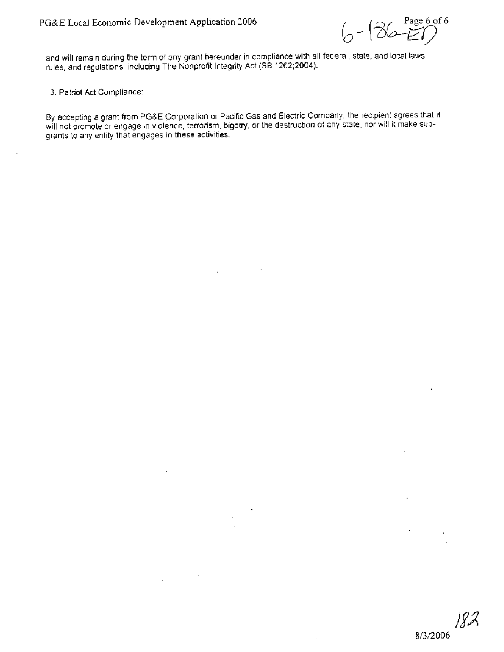Page 6 of 6  $6 - 186$ 

and will remain during the term of any grant hereunder in compliance with all federal, state, and local laws, rules, and regulations, including The Nonprofit Integrity Act (SB 1262;2004).

3. Patriot Act Compliance:

By accepting a grant from PG&E Corporation or Pacific Gas and Electric Company, the recipient agrees that it will not promote or engage in violence, terrorism, bigotry, or the destruction of any state, nor will it make **sub**grants to any entity that engages in these activities.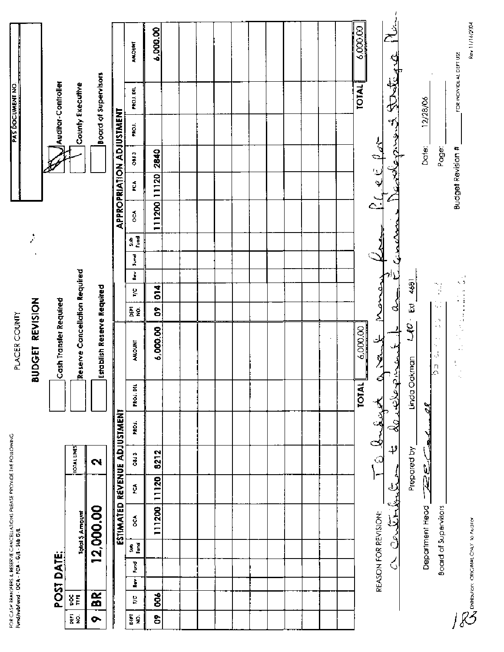|    |      |   |            |           |                                            |                        | FOR CIASH BRINSEBIS & RESERVE CINCELLATIONS PIERSE PROVIDE THE FOLLOWING<br>Rimd/Nubfundf - DCA - PCA - G/L - Sub G/L |                              |                        | PLACER COUNTY                     |                     |               |   |                |          |                          |                   |       |              | PAS DOCUMENT NO         |                |
|----|------|---|------------|-----------|--------------------------------------------|------------------------|-----------------------------------------------------------------------------------------------------------------------|------------------------------|------------------------|-----------------------------------|---------------------|---------------|---|----------------|----------|--------------------------|-------------------|-------|--------------|-------------------------|----------------|
|    |      |   |            |           |                                            |                        |                                                                                                                       |                              |                        | BUDGET REVISION                   |                     |               |   |                | Ż        |                          |                   |       |              |                         |                |
|    |      |   | POST DATE: |           |                                            |                        |                                                                                                                       |                              |                        | Cash Transfer Required            |                     |               |   |                |          |                          |                   |       |              | Auditor-Controller      |                |
| Ē9 | ğË   |   |            |           | Total 5 Amount                             |                        | <b>TOTAL UNES</b>                                                                                                     |                              |                        | Reserve Cancellation Required     |                     |               |   |                |          |                          |                   |       |              | County Executive        |                |
|    | BR.  |   |            |           | 12,000.00                                  |                        | $\mathbf{\tilde{z}}$                                                                                                  |                              |                        | Establish Reserve Required        |                     |               |   |                |          |                          |                   |       |              | Board of Supervisors    |                |
|    |      |   |            |           |                                            |                        |                                                                                                                       | ESTIMATED REVENUE ADJUSTMENT |                        |                                   |                     |               |   |                |          | APPROPRIATION ADJUSTMENT |                   |       |              |                         |                |
|    | ŅΣ   | Ì | Fund       | e<br>Se e | oc.                                        | Ú                      | 08:3                                                                                                                  | PROJ.                        | FROJ. DRL              | <b>AMOUNT</b>                     | 튫욪                  | g             | š | Pund           | e e<br>S | $\mathbf{\hat{g}}$       | ្ថ                | 0813  | <b>PROJ.</b> | PROJ. DIL               | AMOUNT         |
|    | ខ្លី |   |            |           | 111200                                     | 11120                  | 8212                                                                                                                  |                              |                        | 6,000.00                          | န                   | $\frac{4}{5}$ |   |                |          | 111200 11120             |                   | 2840  |              |                         | 6,000.00       |
|    |      |   |            |           |                                            |                        |                                                                                                                       |                              |                        |                                   |                     |               |   |                |          |                          |                   |       |              |                         |                |
|    |      |   |            |           |                                            |                        |                                                                                                                       |                              |                        |                                   |                     |               |   |                |          |                          |                   |       |              |                         |                |
|    |      |   |            |           |                                            |                        |                                                                                                                       |                              |                        |                                   |                     |               |   |                |          |                          |                   |       |              |                         |                |
|    |      |   |            |           |                                            |                        |                                                                                                                       |                              |                        |                                   |                     |               |   |                |          |                          |                   |       |              |                         |                |
|    |      |   |            |           |                                            |                        |                                                                                                                       |                              |                        |                                   |                     |               |   |                |          |                          |                   |       |              |                         |                |
|    |      |   |            |           |                                            |                        |                                                                                                                       |                              |                        |                                   |                     |               |   |                |          |                          |                   |       |              |                         |                |
|    |      |   |            |           |                                            |                        |                                                                                                                       |                              |                        |                                   |                     |               |   |                |          |                          |                   |       |              |                         |                |
|    |      |   |            |           |                                            |                        |                                                                                                                       |                              |                        |                                   |                     |               |   |                |          |                          |                   |       |              |                         |                |
|    |      |   |            |           |                                            |                        |                                                                                                                       |                              |                        |                                   |                     |               |   |                |          |                          |                   |       |              |                         |                |
|    |      |   |            |           |                                            |                        |                                                                                                                       |                              |                        |                                   |                     |               |   |                |          |                          |                   |       |              |                         |                |
|    |      |   |            |           |                                            |                        |                                                                                                                       |                              |                        |                                   |                     |               |   |                |          |                          |                   |       |              |                         |                |
|    |      |   |            |           |                                            |                        |                                                                                                                       |                              | <b>TOTAL</b>           | 6,000.00                          |                     |               |   |                |          |                          |                   |       |              | <b>TOTAL</b>            | 6,000.00       |
|    |      |   |            |           | REASON FOR REVISION:                       |                        |                                                                                                                       | a budayi                     |                        | لخسعتهم                           | }<br>የ<br>٤         |               |   |                |          |                          |                   |       |              |                         |                |
|    |      |   | ८          |           |                                            | <u>حصنگی واکستگ مت</u> | اوړ.                                                                                                                  |                              | د.<br>حضرته علاقه بي ن |                                   | لى<br>م             |               |   | <u>يەسى: ،</u> |          |                          |                   |       |              | P.G. et forment Dutigue |                |
|    |      |   |            |           |                                            |                        | Prepared by                                                                                                           |                              | Linda Oakman           | g                                 | $\bar{\mathbb{S}}$  | 4681          |   |                |          |                          |                   |       |              |                         |                |
|    |      |   |            |           | Department Head                            | アスピ                    |                                                                                                                       |                              | ्र                     | $\cdot$ .<br>$\tilde{\beta}$<br>Д |                     |               |   |                |          |                          |                   | Date: |              | 12/28/06                |                |
|    |      |   |            |           | Board of Supervisors                       |                        |                                                                                                                       |                              |                        | $\sim$ $\gamma$<br>$\sim$ .       | Ų<br>$\mathbb{Z}^n$ | Ŋ             |   |                |          |                          |                   | Page: |              |                         |                |
|    |      |   |            |           |                                            |                        |                                                                                                                       |                              |                        | ٠.                                |                     |               | Ô |                |          |                          | Budget Revision # |       |              | FOR INDIVIDUAL DEPT USE |                |
|    |      |   |            |           | <b>CONTENTIONS</b> CRECINAL CHALT TO ALIGN |                        |                                                                                                                       |                              |                        |                                   |                     |               |   |                |          |                          |                   |       |              |                         | Rev 11/16/2004 |